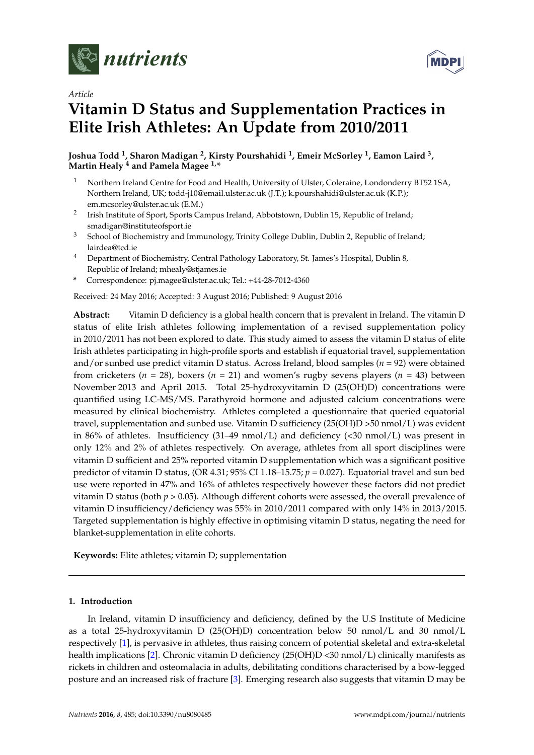

*Article*



# **Vitamin D Status and Supplementation Practices in Elite Irish Athletes: An Update from 2010/2011**

**Joshua Todd <sup>1</sup> , Sharon Madigan <sup>2</sup> , Kirsty Pourshahidi <sup>1</sup> , Emeir McSorley <sup>1</sup> , Eamon Laird <sup>3</sup> , Martin Healy <sup>4</sup> and Pamela Magee 1,\***

- <sup>1</sup> Northern Ireland Centre for Food and Health, University of Ulster, Coleraine, Londonderry BT52 1SA, Northern Ireland, UK; todd-j10@email.ulster.ac.uk (J.T.); k.pourshahidi@ulster.ac.uk (K.P.); em.mcsorley@ulster.ac.uk (E.M.)
- 2 Irish Institute of Sport, Sports Campus Ireland, Abbotstown, Dublin 15, Republic of Ireland; smadigan@instituteofsport.ie
- <sup>3</sup> School of Biochemistry and Immunology, Trinity College Dublin, Dublin 2, Republic of Ireland; lairdea@tcd.ie
- <sup>4</sup> Department of Biochemistry, Central Pathology Laboratory, St. James's Hospital, Dublin 8, Republic of Ireland; mhealy@stjames.ie
- **\*** Correspondence: pj.magee@ulster.ac.uk; Tel.: +44-28-7012-4360

Received: 24 May 2016; Accepted: 3 August 2016; Published: 9 August 2016

**Abstract:** Vitamin D deficiency is a global health concern that is prevalent in Ireland. The vitamin D status of elite Irish athletes following implementation of a revised supplementation policy in 2010/2011 has not been explored to date. This study aimed to assess the vitamin D status of elite Irish athletes participating in high-profile sports and establish if equatorial travel, supplementation and/or sunbed use predict vitamin D status. Across Ireland, blood samples (*n* = 92) were obtained from cricketers (*n* = 28), boxers (*n* = 21) and women's rugby sevens players (*n* = 43) between November 2013 and April 2015. Total 25-hydroxyvitamin D (25(OH)D) concentrations were quantified using LC-MS/MS. Parathyroid hormone and adjusted calcium concentrations were measured by clinical biochemistry. Athletes completed a questionnaire that queried equatorial travel, supplementation and sunbed use. Vitamin D sufficiency (25(OH)D >50 nmol/L) was evident in 86% of athletes. Insufficiency (31–49 nmol/L) and deficiency (<30 nmol/L) was present in only 12% and 2% of athletes respectively. On average, athletes from all sport disciplines were vitamin D sufficient and 25% reported vitamin D supplementation which was a significant positive predictor of vitamin D status, (OR 4.31; 95% CI 1.18–15.75; *p* = 0.027). Equatorial travel and sun bed use were reported in 47% and 16% of athletes respectively however these factors did not predict vitamin D status (both *p* > 0.05). Although different cohorts were assessed, the overall prevalence of vitamin D insufficiency/deficiency was 55% in 2010/2011 compared with only 14% in 2013/2015. Targeted supplementation is highly effective in optimising vitamin D status, negating the need for blanket-supplementation in elite cohorts.

**Keywords:** Elite athletes; vitamin D; supplementation

# **1. Introduction**

In Ireland, vitamin D insufficiency and deficiency, defined by the U.S Institute of Medicine as a total 25-hydroxyvitamin D (25(OH)D) concentration below 50 nmol/L and 30 nmol/L respectively [\[1\]](#page-6-0), is pervasive in athletes, thus raising concern of potential skeletal and extra-skeletal health implications [\[2\]](#page-6-1). Chronic vitamin D deficiency (25(OH)D <30 nmol/L) clinically manifests as rickets in children and osteomalacia in adults, debilitating conditions characterised by a bow-legged posture and an increased risk of fracture [\[3\]](#page-6-2). Emerging research also suggests that vitamin D may be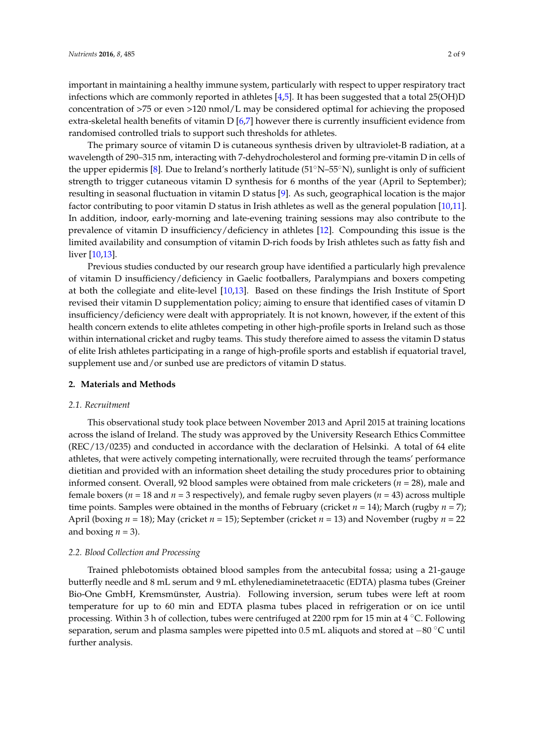important in maintaining a healthy immune system, particularly with respect to upper respiratory tract infections which are commonly reported in athletes [\[4,](#page-6-3)[5\]](#page-6-4). It has been suggested that a total 25(OH)D concentration of >75 or even >120 nmol/L may be considered optimal for achieving the proposed extra-skeletal health benefits of vitamin D [\[6,](#page-6-5)[7\]](#page-6-6) however there is currently insufficient evidence from randomised controlled trials to support such thresholds for athletes.

The primary source of vitamin D is cutaneous synthesis driven by ultraviolet-B radiation, at a wavelength of 290–315 nm, interacting with 7-dehydrocholesterol and forming pre-vitamin D in cells of the upper epidermis [\[8\]](#page-6-7). Due to Ireland's northerly latitude (51 $\textdegree$ N–55 $\textdegree$ N), sunlight is only of sufficient strength to trigger cutaneous vitamin D synthesis for 6 months of the year (April to September); resulting in seasonal fluctuation in vitamin D status [\[9\]](#page-6-8). As such, geographical location is the major factor contributing to poor vitamin D status in Irish athletes as well as the general population [\[10,](#page-6-9)[11\]](#page-6-10). In addition, indoor, early-morning and late-evening training sessions may also contribute to the prevalence of vitamin D insufficiency/deficiency in athletes [\[12\]](#page-6-11). Compounding this issue is the limited availability and consumption of vitamin D-rich foods by Irish athletes such as fatty fish and liver [\[10](#page-6-9)[,13\]](#page-6-12).

Previous studies conducted by our research group have identified a particularly high prevalence of vitamin D insufficiency/deficiency in Gaelic footballers, Paralympians and boxers competing at both the collegiate and elite-level [\[10,](#page-6-9)[13\]](#page-6-12). Based on these findings the Irish Institute of Sport revised their vitamin D supplementation policy; aiming to ensure that identified cases of vitamin D insufficiency/deficiency were dealt with appropriately. It is not known, however, if the extent of this health concern extends to elite athletes competing in other high-profile sports in Ireland such as those within international cricket and rugby teams. This study therefore aimed to assess the vitamin D status of elite Irish athletes participating in a range of high-profile sports and establish if equatorial travel, supplement use and/or sunbed use are predictors of vitamin D status.

#### **2. Materials and Methods**

### *2.1. Recruitment*

This observational study took place between November 2013 and April 2015 at training locations across the island of Ireland. The study was approved by the University Research Ethics Committee (REC/13/0235) and conducted in accordance with the declaration of Helsinki. A total of 64 elite athletes, that were actively competing internationally, were recruited through the teams' performance dietitian and provided with an information sheet detailing the study procedures prior to obtaining informed consent. Overall, 92 blood samples were obtained from male cricketers (*n* = 28), male and female boxers (*n* = 18 and *n* = 3 respectively), and female rugby seven players (*n* = 43) across multiple time points. Samples were obtained in the months of February (cricket *n* = 14); March (rugby *n* = 7); April (boxing *n* = 18); May (cricket *n* = 15); September (cricket *n* = 13) and November (rugby *n* = 22 and boxing  $n = 3$ ).

# *2.2. Blood Collection and Processing*

Trained phlebotomists obtained blood samples from the antecubital fossa; using a 21-gauge butterfly needle and 8 mL serum and 9 mL ethylenediaminetetraacetic (EDTA) plasma tubes (Greiner Bio-One GmbH, Kremsmünster, Austria). Following inversion, serum tubes were left at room temperature for up to 60 min and EDTA plasma tubes placed in refrigeration or on ice until processing. Within 3 h of collection, tubes were centrifuged at 2200 rpm for 15 min at  $4^{\circ}$ C. Following separation, serum and plasma samples were pipetted into 0.5 mL aliquots and stored at  $-80^{\circ}$ C until further analysis.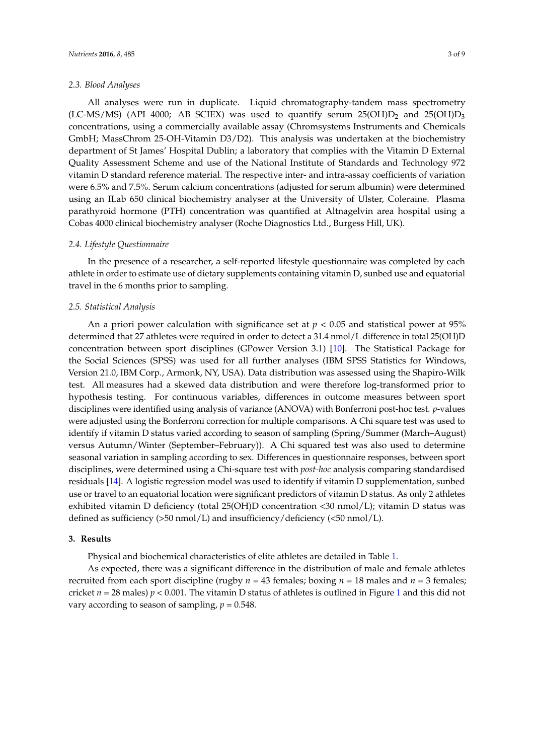#### *2.3. Blood Analyses*

All analyses were run in duplicate. Liquid chromatography-tandem mass spectrometry (LC-MS/MS) (API 4000; AB SCIEX) was used to quantify serum  $25(OH)D_2$  and  $25(OH)D_3$ concentrations, using a commercially available assay (Chromsystems Instruments and Chemicals GmbH; MassChrom 25-OH-Vitamin D3/D2). This analysis was undertaken at the biochemistry department of St James' Hospital Dublin; a laboratory that complies with the Vitamin D External Quality Assessment Scheme and use of the National Institute of Standards and Technology 972 vitamin D standard reference material. The respective inter- and intra-assay coefficients of variation were 6.5% and 7.5%. Serum calcium concentrations (adjusted for serum albumin) were determined using an ILab 650 clinical biochemistry analyser at the University of Ulster, Coleraine. Plasma parathyroid hormone (PTH) concentration was quantified at Altnagelvin area hospital using a Cobas 4000 clinical biochemistry analyser (Roche Diagnostics Ltd., Burgess Hill, UK).

## *2.4. Lifestyle Questionnaire*

In the presence of a researcher, a self-reported lifestyle questionnaire was completed by each athlete in order to estimate use of dietary supplements containing vitamin D, sunbed use and equatorial travel in the 6 months prior to sampling.

#### *2.5. Statistical Analysis*

An a priori power calculation with significance set at  $p < 0.05$  and statistical power at 95% determined that 27 athletes were required in order to detect a 31.4 nmol/L difference in total 25(OH)D concentration between sport disciplines (GPower Version 3.1) [\[10\]](#page-6-9). The Statistical Package for the Social Sciences (SPSS) was used for all further analyses (IBM SPSS Statistics for Windows, Version 21.0, IBM Corp., Armonk, NY, USA). Data distribution was assessed using the Shapiro-Wilk test. All measures had a skewed data distribution and were therefore log-transformed prior to hypothesis testing. For continuous variables, differences in outcome measures between sport disciplines were identified using analysis of variance (ANOVA) with Bonferroni post-hoc test. *p*-values were adjusted using the Bonferroni correction for multiple comparisons. A Chi square test was used to identify if vitamin D status varied according to season of sampling (Spring/Summer (March–August) versus Autumn/Winter (September–February)). A Chi squared test was also used to determine seasonal variation in sampling according to sex. Differences in questionnaire responses, between sport disciplines, were determined using a Chi-square test with *post-hoc* analysis comparing standardised residuals [\[14\]](#page-6-13). A logistic regression model was used to identify if vitamin D supplementation, sunbed use or travel to an equatorial location were significant predictors of vitamin D status. As only 2 athletes exhibited vitamin D deficiency (total 25(OH)D concentration <30 nmol/L); vitamin D status was defined as sufficiency ( $>50$  nmol/L) and insufficiency/deficiency ( $<50$  nmol/L).

### **3. Results**

Physical and biochemical characteristics of elite athletes are detailed in Table [1.](#page-3-0)

As expected, there was a significant difference in the distribution of male and female athletes recruited from each sport discipline (rugby  $n = 43$  females; boxing  $n = 18$  males and  $n = 3$  females; cricket  $n = 28$  males)  $p < 0.001$  $p < 0.001$ . The vitamin D status of athletes is outlined in Figure 1 and this did not vary according to season of sampling,  $p = 0.548$ .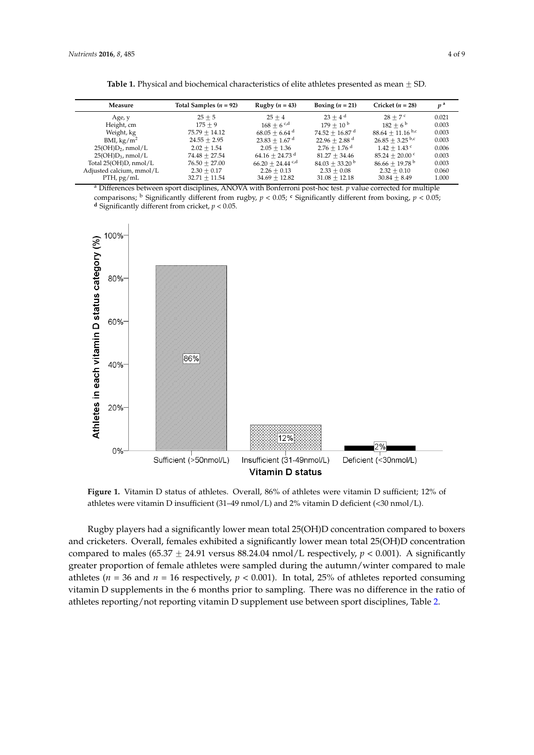<span id="page-3-0"></span>

| Measure                     | Total Samples $(n = 92)$ | Rugby $(n = 43)$             | Boxing $(n = 21)$            | Cricket $(n = 28)$           | p <sup>a</sup> |
|-----------------------------|--------------------------|------------------------------|------------------------------|------------------------------|----------------|
| Age, y                      | $25 + 5$                 | $25 + 4$                     | $23 + 4^d$                   | $28 + 7$ c                   | 0.021          |
| Height, cm                  | $175 + 9$                | $168 + 6$ c,d                | $179 + 10^{b}$               | $182 + 6^{\mathrm{b}}$       | 0.003          |
| Weight, kg                  | $75.79 + 14.12$          | $68.05 + 6.64$ <sup>d</sup>  | $74.52 + 16.87$ <sup>d</sup> | $88.64 + 11.16$ b,c          | 0.003          |
| BMI, $\text{kg}/\text{m}^2$ | $24.55 + 2.95$           | $23.83 + 1.67$ <sup>d</sup>  | $22.96 + 2.88$ <sup>d</sup>  | $26.85 + 3.25$ b.c           | 0.003          |
| $25(OH)D2$ , nmol/L         | $2.02 + 1.54$            | $2.05 + 1.36$                | $2.76 + 1.76$ <sup>d</sup>   | $1.42 + 1.43$ c              | 0.006          |
| $25(OH)D_3$ , nmol/L        | $74.48 + 27.54$          | $64.16 + 24.73$ <sup>d</sup> | $81.27 + 34.46$              | $85.24 + 20.00$ c            | 0.003          |
| Total $25(OH)D$ , nmol/L    | $76.50 + 27.00$          | $66.20 + 24.44$ c,d          | $84.03 + 33.20^{\circ}$      | $86.66 + 19.78^{\mathrm{b}}$ | 0.003          |
| Adjusted calcium, mmol/L    | $2.30 + 0.17$            | $2.26 + 0.13$                | $2.33 + 0.08$                | $2.32 + 0.10$                | 0.060          |
| $PTH$ , pg/mL               | $32.71 + 11.54$          | $34.69 + 12.82$              | $31.08 + 12.18$              | $30.84 + 8.49$               | 1.000          |

**Table 1.** Physical and biochemical characteristics of elite athletes presented as mean  $\pm$  SD.

<sup>a</sup> Differences between sport disciplines, ANOVA with Bonferroni post-hoc test. *p* value corrected for multiple comparisons; <sup>b</sup> Significantly different from rugby, *p* < 0.05; **<sup>c</sup>** Significantly different from boxing, *p* < 0.05; **d** Significantly different from cricket,  $p < 0.05$ .

<span id="page-3-1"></span>

**Figure 1.** Vitamin D status of athletes. Overall, 86% of athletes were vitamin D sufficient; 12% of athletes were vitamin D insufficient (31–49 nmol/L) and 2% vitamin D deficient (<30 nmol/L). athletes were vitamin D insufficient (31–49 nmol/L) and 2% vitamin D deficient (<30 nmol/L).

Rugby players had a significantly lower mean total 25(OH)D concentration compared to boxers Rugby players had a significantly lower mean total 25(OH)D concentration compared to boxers and cricketers. Overall, females exhibited a significantly lower mean total 25(OH)D concentration and cricketers. Overall, females exhibited a significantly lower mean total 25(OH)D concentration compared to males (65.37  $\pm$  24.91 versus 88.24.04 nmol/L respectively,  $p < 0.001$ ). A significantly greater proportion of female athletes were sampled during the autumn/winter compared to male greater proportion of female athletes were sampled during the autumn/winter compared to male athletes ( $n = 36$  and  $n = 16$  respectively,  $p < 0.001$ ). In total, 25% of athletes reported consuming vitamin D supplements in the 6 months prior to sampling. There was no difference in the ratio of athletes reporting/not reporting vitamin D supplement use between sport disciplines, Table [2.](#page-4-0)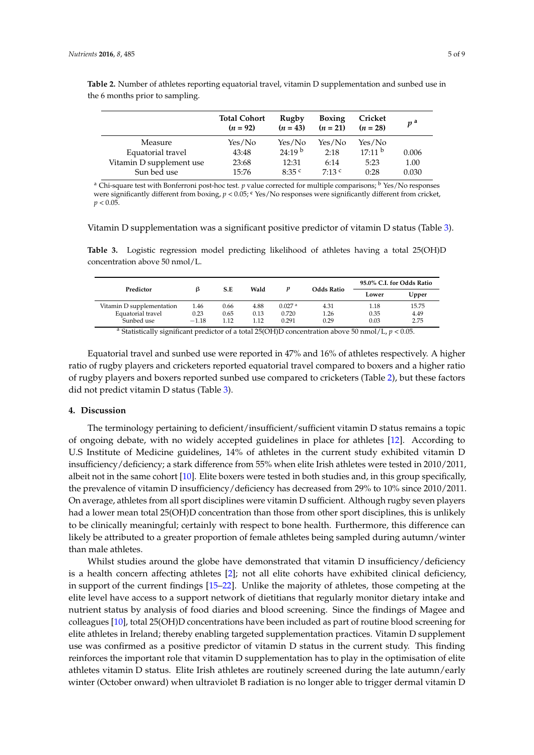|                          | <b>Total Cohort</b><br>$(n = 92)$ | Rugby<br>$(n = 43)$ | <b>Boxing</b><br>$(n = 21)$ | Cricket<br>$(n = 28)$ | $p^{\mathrm{a}}$ |
|--------------------------|-----------------------------------|---------------------|-----------------------------|-----------------------|------------------|
| Measure                  | Yes/No                            | Yes/No              | Yes/No                      | Yes/No                |                  |
| Equatorial travel        | 43:48                             | 24:19 <sup>b</sup>  | 2:18                        | 17:11 <sup>b</sup>    | 0.006            |
| Vitamin D supplement use | 23:68                             | 12:31               | 6:14                        | 5:23                  | 1.00             |
| Sun bed use              | 15:76                             | 8:35 <sup>c</sup>   | $7:13$ c                    | 0:28                  | 0.030            |

<span id="page-4-0"></span>**Table 2.** Number of athletes reporting equatorial travel, vitamin D supplementation and sunbed use in the 6 months prior to sampling.

<sup>a</sup> Chi-square test with Bonferroni post-hoc test. *p* value corrected for multiple comparisons; <sup>b</sup> Yes/No responses were significantly different from boxing, *p* < 0.05; **<sup>c</sup>** Yes/No responses were significantly different from cricket,  $p < 0.05$ .

Vitamin D supplementation was a significant positive predictor of vitamin D status (Table [3\)](#page-4-1).

<span id="page-4-1"></span>Table 3. Logistic regression model predicting likelihood of athletes having a total 25(OH)D concentration above 50 nmol/L.

| Predictor                               | ß                  | S.E  | Wald | p                  | <b>Odds Ratio</b> | 95.0% C.I. for Odds Ratio |                      |
|-----------------------------------------|--------------------|------|------|--------------------|-------------------|---------------------------|----------------------|
|                                         |                    |      |      |                    |                   | Lower                     | Upper                |
| Vitamin D supplementation               | 1.46               | 0.66 | 4.88 | 0.027 <sup>a</sup> | 4.31              | 1.18                      | 15.75                |
| Equatorial travel                       | 0.23               | 0.65 | 0.13 | 0.720              | 1.26              | 0.35                      | 4.49                 |
| Sunbed use                              | $-1.18$            | 1.12 | 1.12 | 0.291              | 0.29              | 0.03                      | 2.75                 |
| $\mathbf{H}$<br>$\cdot$ $\sim$<br>20.21 | $\cdots$<br>$\sim$ |      |      |                    | $\cdot$ .         | 1/7<br>$-\sim$            | $\sim$ $\sim$ $\sim$ |

<sup>a</sup> Statistically significant predictor of a total 25(OH)D concentration above 50 nmol/L,  $p < 0.05$ .

Equatorial travel and sunbed use were reported in 47% and 16% of athletes respectively. A higher ratio of rugby players and cricketers reported equatorial travel compared to boxers and a higher ratio of rugby players and boxers reported sunbed use compared to cricketers (Table [2\)](#page-4-0), but these factors did not predict vitamin D status (Table [3\)](#page-4-1).

## **4. Discussion**

The terminology pertaining to deficient/insufficient/sufficient vitamin D status remains a topic of ongoing debate, with no widely accepted guidelines in place for athletes [\[12\]](#page-6-11). According to U.S Institute of Medicine guidelines, 14% of athletes in the current study exhibited vitamin D insufficiency/deficiency; a stark difference from 55% when elite Irish athletes were tested in 2010/2011, albeit not in the same cohort [\[10\]](#page-6-9). Elite boxers were tested in both studies and, in this group specifically, the prevalence of vitamin D insufficiency/deficiency has decreased from 29% to 10% since 2010/2011. On average, athletes from all sport disciplines were vitamin D sufficient. Although rugby seven players had a lower mean total 25(OH)D concentration than those from other sport disciplines, this is unlikely to be clinically meaningful; certainly with respect to bone health. Furthermore, this difference can likely be attributed to a greater proportion of female athletes being sampled during autumn/winter than male athletes.

Whilst studies around the globe have demonstrated that vitamin D insufficiency/deficiency is a health concern affecting athletes [\[2\]](#page-6-1); not all elite cohorts have exhibited clinical deficiency, in support of the current findings [\[15](#page-6-14)[–22\]](#page-7-0). Unlike the majority of athletes, those competing at the elite level have access to a support network of dietitians that regularly monitor dietary intake and nutrient status by analysis of food diaries and blood screening. Since the findings of Magee and colleagues [\[10\]](#page-6-9), total 25(OH)D concentrations have been included as part of routine blood screening for elite athletes in Ireland; thereby enabling targeted supplementation practices. Vitamin D supplement use was confirmed as a positive predictor of vitamin D status in the current study. This finding reinforces the important role that vitamin D supplementation has to play in the optimisation of elite athletes vitamin D status. Elite Irish athletes are routinely screened during the late autumn/early winter (October onward) when ultraviolet B radiation is no longer able to trigger dermal vitamin D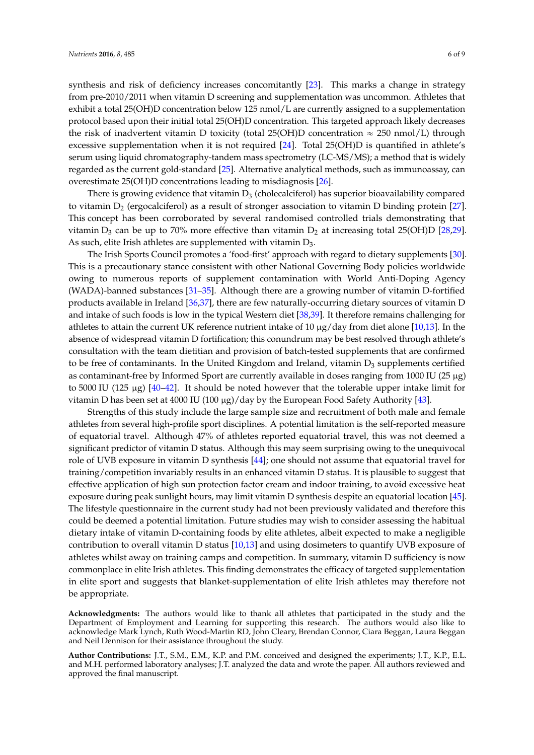synthesis and risk of deficiency increases concomitantly [\[23\]](#page-7-1). This marks a change in strategy from pre-2010/2011 when vitamin D screening and supplementation was uncommon. Athletes that exhibit a total 25(OH)D concentration below 125 nmol/L are currently assigned to a supplementation protocol based upon their initial total 25(OH)D concentration. This targeted approach likely decreases the risk of inadvertent vitamin D toxicity (total 25(OH)D concentration  $\approx$  250 nmol/L) through excessive supplementation when it is not required [\[24\]](#page-7-2). Total 25(OH)D is quantified in athlete's serum using liquid chromatography-tandem mass spectrometry (LC-MS/MS); a method that is widely regarded as the current gold-standard [\[25\]](#page-7-3). Alternative analytical methods, such as immunoassay, can overestimate 25(OH)D concentrations leading to misdiagnosis [\[26\]](#page-7-4).

There is growing evidence that vitamin  $D_3$  (cholecalciferol) has superior bioavailability compared to vitamin  $D_2$  (ergocalciferol) as a result of stronger association to vitamin D binding protein [\[27\]](#page-7-5). This concept has been corroborated by several randomised controlled trials demonstrating that vitamin  $D_3$  can be up to 70% more effective than vitamin  $D_2$  at increasing total 25(OH)D [\[28,](#page-7-6)[29\]](#page-7-7). As such, elite Irish athletes are supplemented with vitamin D<sub>3</sub>.

The Irish Sports Council promotes a 'food-first' approach with regard to dietary supplements [\[30\]](#page-7-8). This is a precautionary stance consistent with other National Governing Body policies worldwide owing to numerous reports of supplement contamination with World Anti-Doping Agency (WADA)-banned substances [\[31](#page-7-9)[–35\]](#page-7-10). Although there are a growing number of vitamin D-fortified products available in Ireland [\[36,](#page-7-11)[37\]](#page-7-12), there are few naturally-occurring dietary sources of vitamin D and intake of such foods is low in the typical Western diet [\[38](#page-8-0)[,39\]](#page-8-1). It therefore remains challenging for athletes to attain the current UK reference nutrient intake of 10  $\mu$ g/day from diet alone [\[10,](#page-6-9)[13\]](#page-6-12). In the absence of widespread vitamin D fortification; this conundrum may be best resolved through athlete's consultation with the team dietitian and provision of batch-tested supplements that are confirmed to be free of contaminants. In the United Kingdom and Ireland, vitamin  $D_3$  supplements certified as contaminant-free by Informed Sport are currently available in doses ranging from 1000 IU ( $25 \mu g$ ) to 5000 IU (125  $\mu$ g) [\[40](#page-8-2)[–42\]](#page-8-3). It should be noted however that the tolerable upper intake limit for vitamin D has been set at 4000 IU (100  $\mu$ g)/day by the European Food Safety Authority [\[43\]](#page-8-4).

Strengths of this study include the large sample size and recruitment of both male and female athletes from several high-profile sport disciplines. A potential limitation is the self-reported measure of equatorial travel. Although 47% of athletes reported equatorial travel, this was not deemed a significant predictor of vitamin D status. Although this may seem surprising owing to the unequivocal role of UVB exposure in vitamin D synthesis [\[44\]](#page-8-5); one should not assume that equatorial travel for training/competition invariably results in an enhanced vitamin D status. It is plausible to suggest that effective application of high sun protection factor cream and indoor training, to avoid excessive heat exposure during peak sunlight hours, may limit vitamin D synthesis despite an equatorial location [\[45\]](#page-8-6). The lifestyle questionnaire in the current study had not been previously validated and therefore this could be deemed a potential limitation. Future studies may wish to consider assessing the habitual dietary intake of vitamin D-containing foods by elite athletes, albeit expected to make a negligible contribution to overall vitamin D status [\[10](#page-6-9)[,13\]](#page-6-12) and using dosimeters to quantify UVB exposure of athletes whilst away on training camps and competition. In summary, vitamin D sufficiency is now commonplace in elite Irish athletes. This finding demonstrates the efficacy of targeted supplementation in elite sport and suggests that blanket-supplementation of elite Irish athletes may therefore not be appropriate.

**Acknowledgments:** The authors would like to thank all athletes that participated in the study and the Department of Employment and Learning for supporting this research. The authors would also like to acknowledge Mark Lynch, Ruth Wood-Martin RD, John Cleary, Brendan Connor, Ciara Beggan, Laura Beggan and Neil Dennison for their assistance throughout the study.

**Author Contributions:** J.T., S.M., E.M., K.P. and P.M. conceived and designed the experiments; J.T., K.P., E.L. and M.H. performed laboratory analyses; J.T. analyzed the data and wrote the paper. All authors reviewed and approved the final manuscript.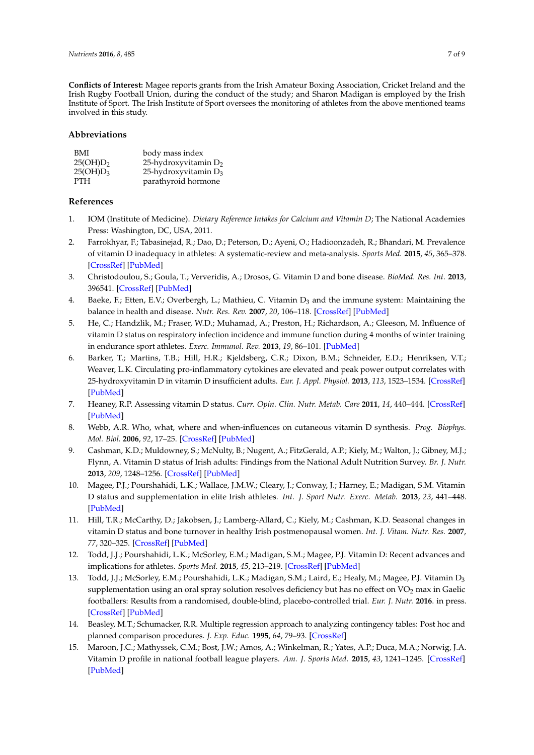**Conflicts of Interest:** Magee reports grants from the Irish Amateur Boxing Association, Cricket Ireland and the Irish Rugby Football Union, during the conduct of the study; and Sharon Madigan is employed by the Irish Institute of Sport. The Irish Institute of Sport oversees the monitoring of athletes from the above mentioned teams involved in this study.

## **Abbreviations**

| BMI                  | body mass index         |
|----------------------|-------------------------|
| 25(OH)D <sub>2</sub> | 25-hydroxyvitamin $D_2$ |
| 25(OH)D <sub>3</sub> | 25-hydroxyvitamin $D_3$ |
| <b>PTH</b>           | parathyroid hormone     |

## **References**

- <span id="page-6-0"></span>1. IOM (Institute of Medicine). *Dietary Reference Intakes for Calcium and Vitamin D*; The National Academies Press: Washington, DC, USA, 2011.
- <span id="page-6-1"></span>2. Farrokhyar, F.; Tabasinejad, R.; Dao, D.; Peterson, D.; Ayeni, O.; Hadioonzadeh, R.; Bhandari, M. Prevalence of vitamin D inadequacy in athletes: A systematic-review and meta-analysis. *Sports Med.* **2015**, *45*, 365–378. [\[CrossRef\]](http://dx.doi.org/10.1007/s40279-014-0267-6) [\[PubMed\]](http://www.ncbi.nlm.nih.gov/pubmed/25277808)
- <span id="page-6-2"></span>3. Christodoulou, S.; Goula, T.; Ververidis, A.; Drosos, G. Vitamin D and bone disease. *BioMed. Res. Int.* **2013**, 396541. [\[CrossRef\]](http://dx.doi.org/10.1155/2013/396541) [\[PubMed\]](http://www.ncbi.nlm.nih.gov/pubmed/23509720)
- <span id="page-6-3"></span>4. Baeke, F.; Etten, E.V.; Overbergh, L.; Mathieu, C. Vitamin D<sub>3</sub> and the immune system: Maintaining the balance in health and disease. *Nutr. Res. Rev.* **2007**, *20*, 106–118. [\[CrossRef\]](http://dx.doi.org/10.1017/S0954422407742713) [\[PubMed\]](http://www.ncbi.nlm.nih.gov/pubmed/19079863)
- <span id="page-6-4"></span>5. He, C.; Handzlik, M.; Fraser, W.D.; Muhamad, A.; Preston, H.; Richardson, A.; Gleeson, M. Influence of vitamin D status on respiratory infection incidence and immune function during 4 months of winter training in endurance sport athletes. *Exerc. Immunol. Rev.* **2013**, *19*, 86–101. [\[PubMed\]](http://www.ncbi.nlm.nih.gov/pubmed/23977722)
- <span id="page-6-5"></span>6. Barker, T.; Martins, T.B.; Hill, H.R.; Kjeldsberg, C.R.; Dixon, B.M.; Schneider, E.D.; Henriksen, V.T.; Weaver, L.K. Circulating pro-inflammatory cytokines are elevated and peak power output correlates with 25-hydroxyvitamin D in vitamin D insufficient adults. *Eur. J. Appl. Physiol.* **2013**, *113*, 1523–1534. [\[CrossRef\]](http://dx.doi.org/10.1007/s00421-012-2582-7) [\[PubMed\]](http://www.ncbi.nlm.nih.gov/pubmed/23292315)
- <span id="page-6-6"></span>7. Heaney, R.P. Assessing vitamin D status. *Curr. Opin. Clin. Nutr. Metab. Care* **2011**, *14*, 440–444. [\[CrossRef\]](http://dx.doi.org/10.1097/MCO.0b013e328348ed85) [\[PubMed\]](http://www.ncbi.nlm.nih.gov/pubmed/21832900)
- <span id="page-6-7"></span>8. Webb, A.R. Who, what, where and when-influences on cutaneous vitamin D synthesis. *Prog. Biophys. Mol. Biol.* **2006**, *92*, 17–25. [\[CrossRef\]](http://dx.doi.org/10.1016/j.pbiomolbio.2006.02.004) [\[PubMed\]](http://www.ncbi.nlm.nih.gov/pubmed/16766240)
- <span id="page-6-8"></span>9. Cashman, K.D.; Muldowney, S.; McNulty, B.; Nugent, A.; FitzGerald, A.P.; Kiely, M.; Walton, J.; Gibney, M.J.; Flynn, A. Vitamin D status of Irish adults: Findings from the National Adult Nutrition Survey. *Br. J. Nutr.* **2013**, *209*, 1248–1256. [\[CrossRef\]](http://dx.doi.org/10.1017/S0007114512003212) [\[PubMed\]](http://www.ncbi.nlm.nih.gov/pubmed/22883239)
- <span id="page-6-9"></span>10. Magee, P.J.; Pourshahidi, L.K.; Wallace, J.M.W.; Cleary, J.; Conway, J.; Harney, E.; Madigan, S.M. Vitamin D status and supplementation in elite Irish athletes. *Int. J. Sport Nutr. Exerc. Metab.* **2013**, *23*, 441–448. [\[PubMed\]](http://www.ncbi.nlm.nih.gov/pubmed/23535936)
- <span id="page-6-10"></span>11. Hill, T.R.; McCarthy, D.; Jakobsen, J.; Lamberg-Allard, C.; Kiely, M.; Cashman, K.D. Seasonal changes in vitamin D status and bone turnover in healthy Irish postmenopausal women. *Int. J. Vitam. Nutr. Res.* **2007**, *77*, 320–325. [\[CrossRef\]](http://dx.doi.org/10.1024/0300-9831.77.5.320) [\[PubMed\]](http://www.ncbi.nlm.nih.gov/pubmed/18453316)
- <span id="page-6-11"></span>12. Todd, J.J.; Pourshahidi, L.K.; McSorley, E.M.; Madigan, S.M.; Magee, P.J. Vitamin D: Recent advances and implications for athletes. *Sports Med.* **2015**, *45*, 213–219. [\[CrossRef\]](http://dx.doi.org/10.1007/s40279-014-0266-7) [\[PubMed\]](http://www.ncbi.nlm.nih.gov/pubmed/25252613)
- <span id="page-6-12"></span>13. Todd, J.J.; McSorley, E.M.; Pourshahidi, L.K.; Madigan, S.M.; Laird, E.; Healy, M.; Magee, P.J. Vitamin D<sub>3</sub> supplementation using an oral spray solution resolves deficiency but has no effect on VO<sub>2</sub> max in Gaelic footballers: Results from a randomised, double-blind, placebo-controlled trial. *Eur. J. Nutr.* **2016**. in press. [\[CrossRef\]](http://dx.doi.org/10.1007/s00394-016-1202-4) [\[PubMed\]](http://www.ncbi.nlm.nih.gov/pubmed/27015912)
- <span id="page-6-13"></span>14. Beasley, M.T.; Schumacker, R.R. Multiple regression approach to analyzing contingency tables: Post hoc and planned comparison procedures. *J. Exp. Educ.* **1995**, *64*, 79–93. [\[CrossRef\]](http://dx.doi.org/10.1080/00220973.1995.9943797)
- <span id="page-6-14"></span>15. Maroon, J.C.; Mathyssek, C.M.; Bost, J.W.; Amos, A.; Winkelman, R.; Yates, A.P.; Duca, M.A.; Norwig, J.A. Vitamin D profile in national football league players. *Am. J. Sports Med.* **2015**, *43*, 1241–1245. [\[CrossRef\]](http://dx.doi.org/10.1177/0363546514567297) [\[PubMed\]](http://www.ncbi.nlm.nih.gov/pubmed/25649084)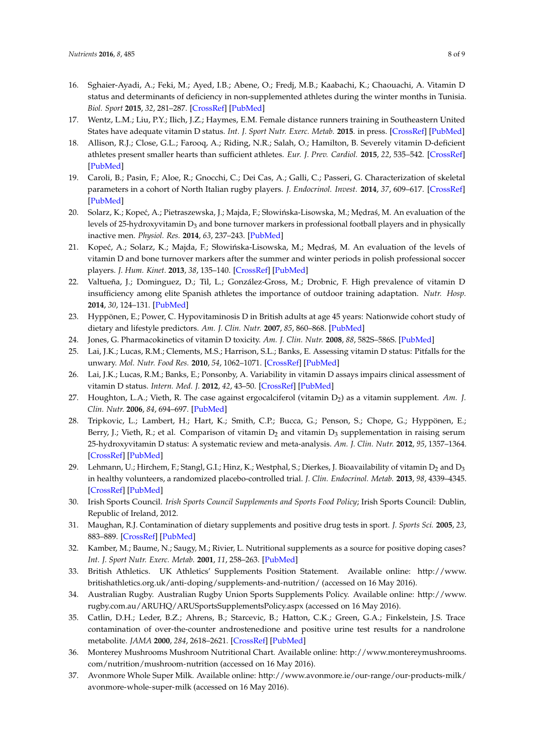- 16. Sghaier-Ayadi, A.; Feki, M.; Ayed, I.B.; Abene, O.; Fredj, M.B.; Kaabachi, K.; Chaouachi, A. Vitamin D status and determinants of deficiency in non-supplemented athletes during the winter months in Tunisia. *Biol. Sport* **2015**, *32*, 281–287. [\[CrossRef\]](http://dx.doi.org/10.5604/20831862.1163690) [\[PubMed\]](http://www.ncbi.nlm.nih.gov/pubmed/26681829)
- 17. Wentz, L.M.; Liu, P.Y.; Ilich, J.Z.; Haymes, E.M. Female distance runners training in Southeastern United States have adequate vitamin D status. *Int. J. Sport Nutr. Exerc. Metab.* **2015**. in press. [\[CrossRef\]](http://dx.doi.org/10.1123/ijsnem.2014-0177) [\[PubMed\]](http://www.ncbi.nlm.nih.gov/pubmed/26696653)
- 18. Allison, R.J.; Close, G.L.; Farooq, A.; Riding, N.R.; Salah, O.; Hamilton, B. Severely vitamin D-deficient athletes present smaller hearts than sufficient athletes. *Eur. J. Prev. Cardiol.* **2015**, *22*, 535–542. [\[CrossRef\]](http://dx.doi.org/10.1177/2047487313518473) [\[PubMed\]](http://www.ncbi.nlm.nih.gov/pubmed/24398372)
- 19. Caroli, B.; Pasin, F.; Aloe, R.; Gnocchi, C.; Dei Cas, A.; Galli, C.; Passeri, G. Characterization of skeletal parameters in a cohort of North Italian rugby players. *J. Endocrinol. Invest.* **2014**, *37*, 609–617. [\[CrossRef\]](http://dx.doi.org/10.1007/s40618-014-0070-0) [\[PubMed\]](http://www.ncbi.nlm.nih.gov/pubmed/24696159)
- 20. Solarz, K.; Kopeć, A.; Pietraszewska, J.; Majda, F.; Słowińska-Lisowska, M.; Mędraś, M. An evaluation of the levels of 25-hydroxyvitamin  $D_3$  and bone turnover markers in professional football players and in physically inactive men. *Physiol. Res.* **2014**, *63*, 237–243. [\[PubMed\]](http://www.ncbi.nlm.nih.gov/pubmed/24397809)
- 21. Kopeć, A.; Solarz, K.; Majda, F.; Słowińska-Lisowska, M.; Mędraś, M. An evaluation of the levels of vitamin D and bone turnover markers after the summer and winter periods in polish professional soccer players. *J. Hum. Kinet.* **2013**, *38*, 135–140. [\[CrossRef\]](http://dx.doi.org/10.2478/hukin-2013-0053) [\[PubMed\]](http://www.ncbi.nlm.nih.gov/pubmed/24232955)
- <span id="page-7-0"></span>22. Valtueña, J.; Dominguez, D.; Til, L.; González-Gross, M.; Drobnic, F. High prevalence of vitamin D insufficiency among elite Spanish athletes the importance of outdoor training adaptation. *Nutr. Hosp.* **2014**, *30*, 124–131. [\[PubMed\]](http://www.ncbi.nlm.nih.gov/pubmed/25137271)
- <span id="page-7-1"></span>23. Hyppönen, E.; Power, C. Hypovitaminosis D in British adults at age 45 years: Nationwide cohort study of dietary and lifestyle predictors. *Am. J. Clin. Nutr.* **2007**, *85*, 860–868. [\[PubMed\]](http://www.ncbi.nlm.nih.gov/pubmed/17344510)
- <span id="page-7-2"></span>24. Jones, G. Pharmacokinetics of vitamin D toxicity. *Am. J. Clin. Nutr.* **2008**, *88*, 582S–586S. [\[PubMed\]](http://www.ncbi.nlm.nih.gov/pubmed/18689406)
- <span id="page-7-3"></span>25. Lai, J.K.; Lucas, R.M.; Clements, M.S.; Harrison, S.L.; Banks, E. Assessing vitamin D status: Pitfalls for the unwary. *Mol. Nutr. Food Res.* **2010**, *54*, 1062–1071. [\[CrossRef\]](http://dx.doi.org/10.1002/mnfr.200900468) [\[PubMed\]](http://www.ncbi.nlm.nih.gov/pubmed/20397196)
- <span id="page-7-4"></span>26. Lai, J.K.; Lucas, R.M.; Banks, E.; Ponsonby, A. Variability in vitamin D assays impairs clinical assessment of vitamin D status. *Intern. Med. J.* **2012**, *42*, 43–50. [\[CrossRef\]](http://dx.doi.org/10.1111/j.1445-5994.2011.02471.x) [\[PubMed\]](http://www.ncbi.nlm.nih.gov/pubmed/21395958)
- <span id="page-7-5"></span>27. Houghton, L.A.; Vieth, R. The case against ergocalciferol (vitamin D<sub>2</sub>) as a vitamin supplement. Am. J. *Clin. Nutr.* **2006**, *84*, 694–697. [\[PubMed\]](http://www.ncbi.nlm.nih.gov/pubmed/17023693)
- <span id="page-7-6"></span>28. Tripkovic, L.; Lambert, H.; Hart, K.; Smith, C.P.; Bucca, G.; Penson, S.; Chope, G.; Hyppönen, E.; Berry, J.; Vieth, R.; et al. Comparison of vitamin  $D_2$  and vitamin  $D_3$  supplementation in raising serum 25-hydroxyvitamin D status: A systematic review and meta-analysis. *Am. J. Clin. Nutr.* **2012**, *95*, 1357–1364. [\[CrossRef\]](http://dx.doi.org/10.3945/ajcn.111.031070) [\[PubMed\]](http://www.ncbi.nlm.nih.gov/pubmed/22552031)
- <span id="page-7-7"></span>29. Lehmann, U.; Hirchem, F.; Stangl, G.I.; Hinz, K.; Westphal, S.; Dierkes, J. Bioavailability of vitamin  $D_2$  and  $D_3$ in healthy volunteers, a randomized placebo-controlled trial. *J. Clin. Endocrinol. Metab.* **2013**, *98*, 4339–4345. [\[CrossRef\]](http://dx.doi.org/10.1210/jc.2012-4287) [\[PubMed\]](http://www.ncbi.nlm.nih.gov/pubmed/24001747)
- <span id="page-7-8"></span>30. Irish Sports Council. *Irish Sports Council Supplements and Sports Food Policy*; Irish Sports Council: Dublin, Republic of Ireland, 2012.
- <span id="page-7-9"></span>31. Maughan, R.J. Contamination of dietary supplements and positive drug tests in sport. *J. Sports Sci.* **2005**, *23*, 883–889. [\[CrossRef\]](http://dx.doi.org/10.1080/02640410400023258) [\[PubMed\]](http://www.ncbi.nlm.nih.gov/pubmed/16195040)
- 32. Kamber, M.; Baume, N.; Saugy, M.; Rivier, L. Nutritional supplements as a source for positive doping cases? *Int. J. Sport Nutr. Exerc. Metab.* **2001**, *11*, 258–263. [\[PubMed\]](http://www.ncbi.nlm.nih.gov/pubmed/11402257)
- 33. British Athletics. UK Athletics' Supplements Position Statement. Available online: [http://www.](http://www.britishathletics.org.uk/anti-doping/supplements-and-nutrition/) [britishathletics.org.uk/anti-doping/supplements-and-nutrition/](http://www.britishathletics.org.uk/anti-doping/supplements-and-nutrition/) (accessed on 16 May 2016).
- 34. Australian Rugby. Australian Rugby Union Sports Supplements Policy. Available online: [http://www.](http://www.rugby.com.au/ARUHQ/ARUSportsSupplementsPolicy.aspx) [rugby.com.au/ARUHQ/ARUSportsSupplementsPolicy.aspx](http://www.rugby.com.au/ARUHQ/ARUSportsSupplementsPolicy.aspx) (accessed on 16 May 2016).
- <span id="page-7-10"></span>35. Catlin, D.H.; Leder, B.Z.; Ahrens, B.; Starcevic, B.; Hatton, C.K.; Green, G.A.; Finkelstein, J.S. Trace contamination of over-the-counter androstenedione and positive urine test results for a nandrolone metabolite. *JAMA* **2000**, *284*, 2618–2621. [\[CrossRef\]](http://dx.doi.org/10.1001/jama.284.20.2618) [\[PubMed\]](http://www.ncbi.nlm.nih.gov/pubmed/11086369)
- <span id="page-7-11"></span>36. Monterey Mushrooms Mushroom Nutritional Chart. Available online: [http://www.montereymushrooms.](http://www.montereymushrooms.com/nutrition/mushroom-nutrition) [com/nutrition/mushroom-nutrition](http://www.montereymushrooms.com/nutrition/mushroom-nutrition) (accessed on 16 May 2016).
- <span id="page-7-12"></span>37. Avonmore Whole Super Milk. Available online: [http://www.avonmore.ie/our-range/our-products-milk/](http://www.avonmore.ie/our-range/our-products-milk/avonmore-whole-super-milk) [avonmore-whole-super-milk](http://www.avonmore.ie/our-range/our-products-milk/avonmore-whole-super-milk) (accessed on 16 May 2016).